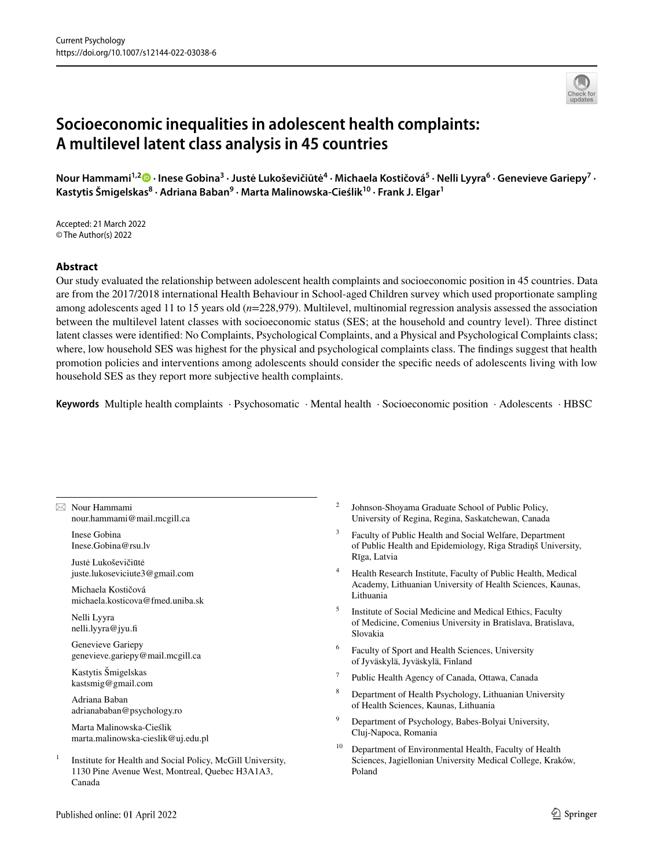# **Socioeconomic inequalities in adolescent health complaints: A multilevel latent class analysis in 45 countries**

Nour Hammami<sup>1,2</sup>® [·](http://orcid.org/0000-0001-5816-5949) Inese Gobina<sup>3</sup> · Justė Lukoševičiūtė<sup>4</sup> · Michaela Kostičová<sup>5</sup> · Nelli Lyyra<sup>6</sup> · Genevieve Gariepy<sup>7</sup> · Kastytis Šmigelskas<sup>8</sup> · Adriana Baban<sup>9</sup> · Marta Malinowska-Cieślik<sup>10</sup> · Frank J. Elgar<sup>1</sup>

Accepted: 21 March 2022 © The Author(s) 2022

### **Abstract**

Our study evaluated the relationship between adolescent health complaints and socioeconomic position in 45 countries. Data are from the 2017/2018 international Health Behaviour in School-aged Children survey which used proportionate sampling among adolescents aged 11 to 15 years old (*n*=228,979). Multilevel, multinomial regression analysis assessed the association between the multilevel latent classes with socioeconomic status (SES; at the household and country level). Three distinct latent classes were identifed: No Complaints, Psychological Complaints, and a Physical and Psychological Complaints class; where, low household SES was highest for the physical and psychological complaints class. The fndings suggest that health promotion policies and interventions among adolescents should consider the specifc needs of adolescents living with low household SES as they report more subjective health complaints.

**Keywords** Multiple health complaints · Psychosomatic · Mental health · Socioeconomic position · Adolescents · HBSC

 $\boxtimes$  Nour Hammami nour.hammami@mail.mcgill.ca

> Inese Gobina Inese.Gobina@rsu.lv

Justė Lukoševičiūtė juste.lukoseviciute3@gmail.com

Michaela Kostičová michaela.kosticova@fmed.uniba.sk

Nelli Lyyra nelli.lyyra@jyu.f

Genevieve Gariepy genevieve.gariepy@mail.mcgill.ca

Kastytis Šmigelskas kastsmig@gmail.com

Adriana Baban adrianababan@psychology.ro

Marta Malinowska-Cieślik marta.malinowska-cieslik@uj.edu.pl

<sup>1</sup> Institute for Health and Social Policy, McGill University, 1130 Pine Avenue West, Montreal, Quebec H3A1A3, Canada

- <sup>2</sup> Johnson-Shoyama Graduate School of Public Policy, University of Regina, Regina, Saskatchewan, Canada
- <sup>3</sup> Faculty of Public Health and Social Welfare, Department of Public Health and Epidemiology, Riga Stradiņš University, Rīga, Latvia
- <sup>4</sup> Health Research Institute, Faculty of Public Health, Medical Academy, Lithuanian University of Health Sciences, Kaunas, Lithuania
- <sup>5</sup> Institute of Social Medicine and Medical Ethics, Faculty of Medicine, Comenius University in Bratislava, Bratislava, Slovakia
- <sup>6</sup> Faculty of Sport and Health Sciences, University of Jyväskylä, Jyväskylä, Finland
- <sup>7</sup> Public Health Agency of Canada, Ottawa, Canada
- <sup>8</sup> Department of Health Psychology, Lithuanian University of Health Sciences, Kaunas, Lithuania
- <sup>9</sup> Department of Psychology, Babes-Bolyai University, Cluj-Napoca, Romania
- <sup>10</sup> Department of Environmental Health, Faculty of Health Sciences, Jagiellonian University Medical College, Kraków, Poland

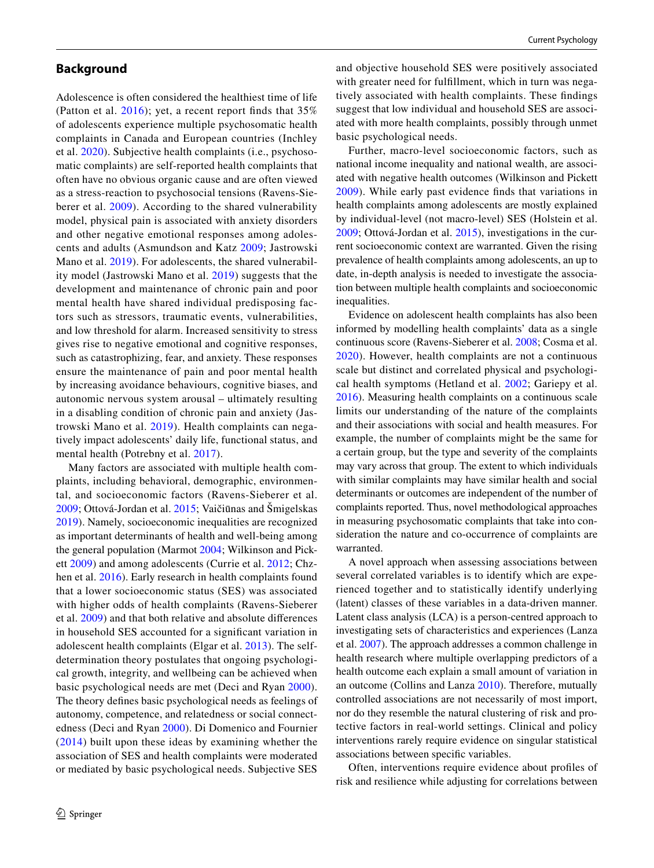### **Background**

Adolescence is often considered the healthiest time of life (Patton et al. [2016\)](#page-11-0); yet, a recent report fnds that 35% of adolescents experience multiple psychosomatic health complaints in Canada and European countries (Inchley et al. [2020](#page-11-1)). Subjective health complaints (i.e., psychosomatic complaints) are self-reported health complaints that often have no obvious organic cause and are often viewed as a stress-reaction to psychosocial tensions (Ravens-Sieberer et al. [2009\)](#page-11-2). According to the shared vulnerability model, physical pain is associated with anxiety disorders and other negative emotional responses among adolescents and adults (Asmundson and Katz [2009;](#page-10-0) Jastrowski Mano et al. [2019\)](#page-11-3). For adolescents, the shared vulnerability model (Jastrowski Mano et al. [2019\)](#page-11-3) suggests that the development and maintenance of chronic pain and poor mental health have shared individual predisposing factors such as stressors, traumatic events, vulnerabilities, and low threshold for alarm. Increased sensitivity to stress gives rise to negative emotional and cognitive responses, such as catastrophizing, fear, and anxiety. These responses ensure the maintenance of pain and poor mental health by increasing avoidance behaviours, cognitive biases, and autonomic nervous system arousal – ultimately resulting in a disabling condition of chronic pain and anxiety (Jastrowski Mano et al. [2019](#page-11-3)). Health complaints can negatively impact adolescents' daily life, functional status, and mental health (Potrebny et al. [2017](#page-11-4)).

Many factors are associated with multiple health complaints, including behavioral, demographic, environmental, and socioeconomic factors (Ravens-Sieberer et al. [2009](#page-11-2); Ottová-Jordan et al. [2015;](#page-11-5) Vaičiūnas and Šmigelskas [2019](#page-11-6)). Namely, socioeconomic inequalities are recognized as important determinants of health and well-being among the general population (Marmot [2004](#page-11-7); Wilkinson and Pickett [2009](#page-11-8)) and among adolescents (Currie et al. [2012;](#page-10-1) Chzhen et al. [2016\)](#page-10-2). Early research in health complaints found that a lower socioeconomic status (SES) was associated with higher odds of health complaints (Ravens-Sieberer et al. [2009](#page-11-2)) and that both relative and absolute diferences in household SES accounted for a signifcant variation in adolescent health complaints (Elgar et al. [2013\)](#page-10-3). The selfdetermination theory postulates that ongoing psychological growth, integrity, and wellbeing can be achieved when basic psychological needs are met (Deci and Ryan [2000](#page-10-4)). The theory defnes basic psychological needs as feelings of autonomy, competence, and relatedness or social connectedness (Deci and Ryan [2000\)](#page-10-4). Di Domenico and Fournier ([2014\)](#page-10-5) built upon these ideas by examining whether the association of SES and health complaints were moderated or mediated by basic psychological needs. Subjective SES

and objective household SES were positively associated with greater need for fulfllment, which in turn was negatively associated with health complaints. These fndings suggest that low individual and household SES are associated with more health complaints, possibly through unmet basic psychological needs.

Further, macro-level socioeconomic factors, such as national income inequality and national wealth, are associated with negative health outcomes (Wilkinson and Pickett [2009\)](#page-11-8). While early past evidence fnds that variations in health complaints among adolescents are mostly explained by individual-level (not macro-level) SES (Holstein et al. [2009](#page-11-9); Ottová-Jordan et al. [2015](#page-11-5)), investigations in the current socioeconomic context are warranted. Given the rising prevalence of health complaints among adolescents, an up to date, in-depth analysis is needed to investigate the association between multiple health complaints and socioeconomic inequalities.

Evidence on adolescent health complaints has also been informed by modelling health complaints' data as a single continuous score (Ravens-Sieberer et al. [2008;](#page-11-10) Cosma et al. [2020\)](#page-10-6). However, health complaints are not a continuous scale but distinct and correlated physical and psychological health symptoms (Hetland et al. [2002;](#page-11-11) Gariepy et al. [2016](#page-10-7)). Measuring health complaints on a continuous scale limits our understanding of the nature of the complaints and their associations with social and health measures. For example, the number of complaints might be the same for a certain group, but the type and severity of the complaints may vary across that group. The extent to which individuals with similar complaints may have similar health and social determinants or outcomes are independent of the number of complaints reported. Thus, novel methodological approaches in measuring psychosomatic complaints that take into consideration the nature and co-occurrence of complaints are warranted.

A novel approach when assessing associations between several correlated variables is to identify which are experienced together and to statistically identify underlying (latent) classes of these variables in a data-driven manner. Latent class analysis (LCA) is a person-centred approach to investigating sets of characteristics and experiences (Lanza et al. [2007](#page-11-12)). The approach addresses a common challenge in health research where multiple overlapping predictors of a health outcome each explain a small amount of variation in an outcome (Collins and Lanza [2010](#page-10-8)). Therefore, mutually controlled associations are not necessarily of most import, nor do they resemble the natural clustering of risk and protective factors in real-world settings. Clinical and policy interventions rarely require evidence on singular statistical associations between specifc variables.

Often, interventions require evidence about profles of risk and resilience while adjusting for correlations between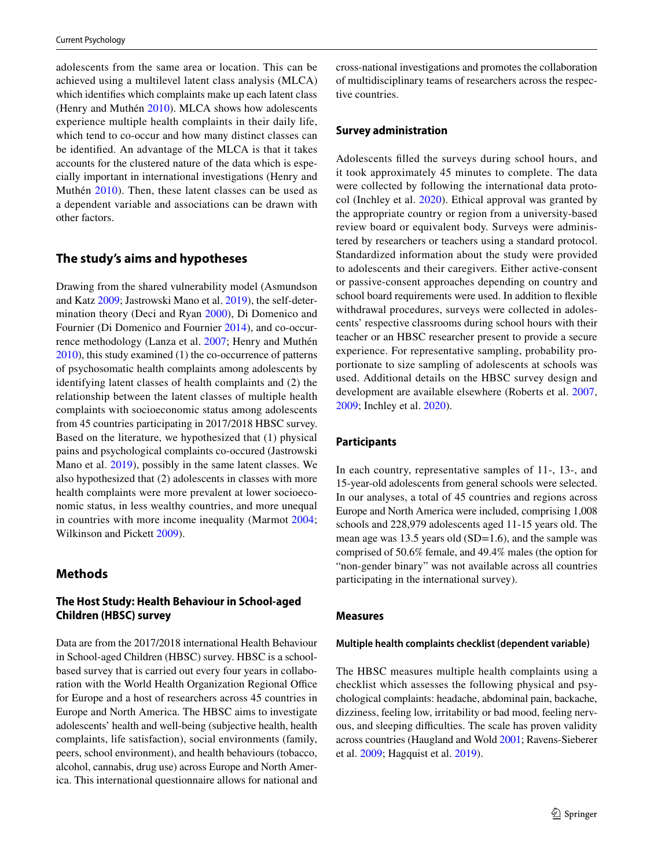adolescents from the same area or location. This can be achieved using a multilevel latent class analysis (MLCA) which identifes which complaints make up each latent class (Henry and Muthén [2010\)](#page-11-13). MLCA shows how adolescents experience multiple health complaints in their daily life, which tend to co-occur and how many distinct classes can be identifed. An advantage of the MLCA is that it takes accounts for the clustered nature of the data which is especially important in international investigations (Henry and Muthén [2010](#page-11-13)). Then, these latent classes can be used as a dependent variable and associations can be drawn with other factors.

### **The study's aims and hypotheses**

Drawing from the shared vulnerability model (Asmundson and Katz [2009](#page-10-0); Jastrowski Mano et al. [2019](#page-11-3)), the self-determination theory (Deci and Ryan [2000](#page-10-4)), Di Domenico and Fournier (Di Domenico and Fournier [2014\)](#page-10-5), and co-occurrence methodology (Lanza et al. [2007](#page-11-12); Henry and Muthén [2010\)](#page-11-13), this study examined (1) the co-occurrence of patterns of psychosomatic health complaints among adolescents by identifying latent classes of health complaints and (2) the relationship between the latent classes of multiple health complaints with socioeconomic status among adolescents from 45 countries participating in 2017/2018 HBSC survey. Based on the literature, we hypothesized that (1) physical pains and psychological complaints co-occured (Jastrowski Mano et al. [2019\)](#page-11-3), possibly in the same latent classes. We also hypothesized that (2) adolescents in classes with more health complaints were more prevalent at lower socioeconomic status, in less wealthy countries, and more unequal in countries with more income inequality (Marmot [2004](#page-11-7); Wilkinson and Pickett [2009\)](#page-11-8).

# **Methods**

# **The Host Study: Health Behaviour in School‑aged Children (HBSC) survey**

Data are from the 2017/2018 international Health Behaviour in School-aged Children (HBSC) survey. HBSC is a schoolbased survey that is carried out every four years in collaboration with the World Health Organization Regional Office for Europe and a host of researchers across 45 countries in Europe and North America. The HBSC aims to investigate adolescents' health and well-being (subjective health, health complaints, life satisfaction), social environments (family, peers, school environment), and health behaviours (tobacco, alcohol, cannabis, drug use) across Europe and North America. This international questionnaire allows for national and cross-national investigations and promotes the collaboration of multidisciplinary teams of researchers across the respective countries.

### **Survey administration**

Adolescents flled the surveys during school hours, and it took approximately 45 minutes to complete. The data were collected by following the international data protocol (Inchley et al. [2020](#page-11-1)). Ethical approval was granted by the appropriate country or region from a university-based review board or equivalent body. Surveys were administered by researchers or teachers using a standard protocol. Standardized information about the study were provided to adolescents and their caregivers. Either active-consent or passive-consent approaches depending on country and school board requirements were used. In addition to fexible withdrawal procedures, surveys were collected in adolescents' respective classrooms during school hours with their teacher or an HBSC researcher present to provide a secure experience. For representative sampling, probability proportionate to size sampling of adolescents at schools was used. Additional details on the HBSC survey design and development are available elsewhere (Roberts et al. [2007,](#page-11-14) [2009](#page-11-15); Inchley et al. [2020](#page-11-1)).

# **Participants**

In each country, representative samples of 11-, 13-, and 15-year-old adolescents from general schools were selected. In our analyses, a total of 45 countries and regions across Europe and North America were included, comprising 1,008 schools and 228,979 adolescents aged 11-15 years old. The mean age was 13.5 years old (SD=1.6), and the sample was comprised of 50.6% female, and 49.4% males (the option for "non-gender binary" was not available across all countries participating in the international survey).

#### **Measures**

#### **Multiple health complaints checklist (dependent variable)**

The HBSC measures multiple health complaints using a checklist which assesses the following physical and psychological complaints: headache, abdominal pain, backache, dizziness, feeling low, irritability or bad mood, feeling nervous, and sleeping difficulties. The scale has proven validity across countries (Haugland and Wold [2001;](#page-11-16) Ravens-Sieberer et al. [2009](#page-11-2); Hagquist et al. [2019](#page-10-9)).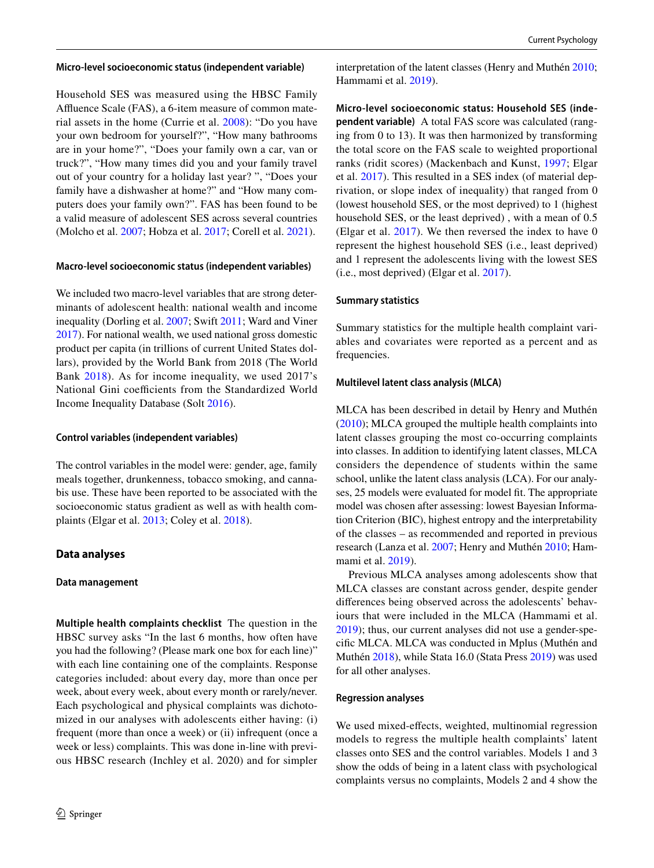#### **Micro‑level socioeconomic status (independent variable)**

Household SES was measured using the HBSC Family Afuence Scale (FAS), a 6-item measure of common material assets in the home (Currie et al. [2008](#page-10-10)): "Do you have your own bedroom for yourself?", "How many bathrooms are in your home?", "Does your family own a car, van or truck?", "How many times did you and your family travel out of your country for a holiday last year? ", "Does your family have a dishwasher at home?" and "How many computers does your family own?". FAS has been found to be a valid measure of adolescent SES across several countries (Molcho et al. [2007](#page-11-17); Hobza et al. [2017](#page-11-18); Corell et al. [2021\)](#page-10-11).

#### **Macro‑level socioeconomic status (independent variables)**

We included two macro-level variables that are strong determinants of adolescent health: national wealth and income inequality (Dorling et al. [2007;](#page-10-12) Swift [2011;](#page-11-19) Ward and Viner [2017](#page-11-20)). For national wealth, we used national gross domestic product per capita (in trillions of current United States dollars), provided by the World Bank from 2018 (The World Bank [2018\)](#page-11-21). As for income inequality, we used 2017's National Gini coefficients from the Standardized World Income Inequality Database (Solt [2016\)](#page-11-22).

#### **Control variables (independent variables)**

The control variables in the model were: gender, age, family meals together, drunkenness, tobacco smoking, and cannabis use. These have been reported to be associated with the socioeconomic status gradient as well as with health complaints (Elgar et al. [2013](#page-10-3); Coley et al. [2018\)](#page-10-13).

### **Data analyses**

#### **Data management**

**Multiple health complaints checklist** The question in the HBSC survey asks "In the last 6 months, how often have you had the following? (Please mark one box for each line)" with each line containing one of the complaints. Response categories included: about every day, more than once per week, about every week, about every month or rarely/never. Each psychological and physical complaints was dichotomized in our analyses with adolescents either having: (i) frequent (more than once a week) or (ii) infrequent (once a week or less) complaints. This was done in-line with previous HBSC research (Inchley et al. 2020) and for simpler interpretation of the latent classes (Henry and Muthén [2010](#page-11-13); Hammami et al. [2019](#page-11-23)).

**Micro‑level socioeconomic status: Household SES (inde‑ pendent variable)** A total FAS score was calculated (ranging from 0 to 13). It was then harmonized by transforming the total score on the FAS scale to weighted proportional ranks (ridit scores) (Mackenbach and Kunst, [1997](#page-11-24); Elgar et al. [2017\)](#page-10-14). This resulted in a SES index (of material deprivation, or slope index of inequality) that ranged from 0 (lowest household SES, or the most deprived) to 1 (highest household SES, or the least deprived) , with a mean of 0.5 (Elgar et al. [2017\)](#page-10-14). We then reversed the index to have 0 represent the highest household SES (i.e., least deprived) and 1 represent the adolescents living with the lowest SES (i.e., most deprived) (Elgar et al. [2017\)](#page-10-14).

#### **Summary statistics**

Summary statistics for the multiple health complaint variables and covariates were reported as a percent and as frequencies.

#### **Multilevel latent class analysis (MLCA)**

MLCA has been described in detail by Henry and Muthén ([2010\)](#page-11-13); MLCA grouped the multiple health complaints into latent classes grouping the most co-occurring complaints into classes. In addition to identifying latent classes, MLCA considers the dependence of students within the same school, unlike the latent class analysis (LCA). For our analyses, 25 models were evaluated for model ft. The appropriate model was chosen after assessing: lowest Bayesian Information Criterion (BIC), highest entropy and the interpretability of the classes – as recommended and reported in previous research (Lanza et al. [2007](#page-11-12); Henry and Muthén [2010](#page-11-13); Hammami et al. [2019\)](#page-11-23).

Previous MLCA analyses among adolescents show that MLCA classes are constant across gender, despite gender diferences being observed across the adolescents' behaviours that were included in the MLCA (Hammami et al. [2019](#page-11-23)); thus, our current analyses did not use a gender-specifc MLCA. MLCA was conducted in Mplus (Muthén and Muthén [2018\)](#page-11-25), while Stata 16.0 (Stata Press [2019\)](#page-11-26) was used for all other analyses.

#### **Regression analyses**

We used mixed-effects, weighted, multinomial regression models to regress the multiple health complaints' latent classes onto SES and the control variables. Models 1 and 3 show the odds of being in a latent class with psychological complaints versus no complaints, Models 2 and 4 show the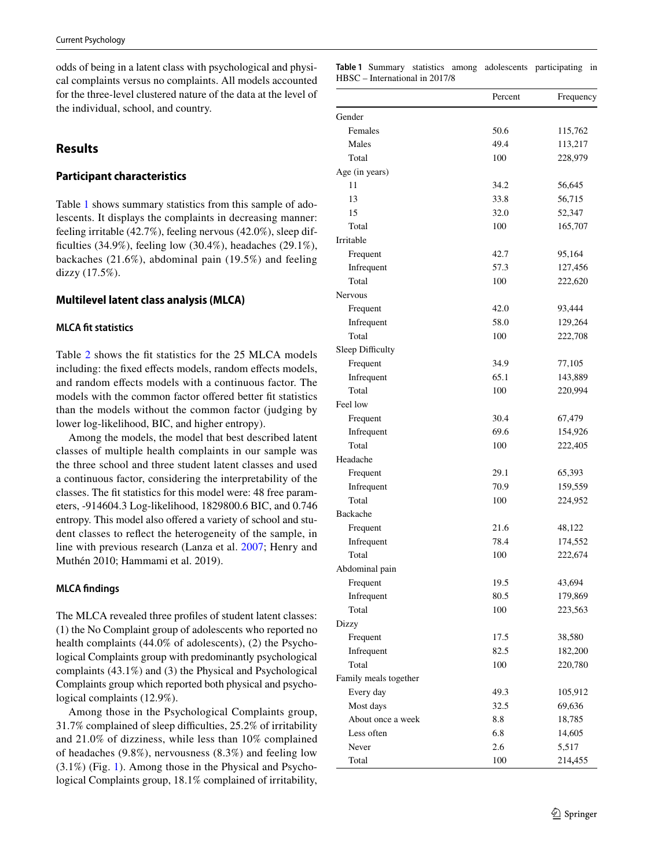odds of being in a latent class with psychological and physical complaints versus no complaints. All models accounted for the three-level clustered nature of the data at the level of the individual, school, and country.

# **Results**

# **Participant characteristics**

Table [1](#page-4-0) shows summary statistics from this sample of adolescents. It displays the complaints in decreasing manner: feeling irritable (42.7%), feeling nervous (42.0%), sleep difficulties  $(34.9\%)$ , feeling low  $(30.4\%)$ , headaches  $(29.1\%)$ , backaches (21.6%), abdominal pain (19.5%) and feeling dizzy (17.5%).

# **Multilevel latent class analysis (MLCA)**

### **MLCA ft statistics**

Table [2](#page-6-0) shows the ft statistics for the 25 MLCA models including: the fixed effects models, random effects models, and random efects models with a continuous factor. The models with the common factor offered better fit statistics than the models without the common factor (judging by lower log-likelihood, BIC, and higher entropy).

Among the models, the model that best described latent classes of multiple health complaints in our sample was the three school and three student latent classes and used a continuous factor, considering the interpretability of the classes. The ft statistics for this model were: 48 free parameters, -914604.3 Log-likelihood, 1829800.6 BIC, and 0.746 entropy. This model also offered a variety of school and student classes to refect the heterogeneity of the sample, in line with previous research (Lanza et al. [2007](#page-11-12); Henry and Muthén 2010; Hammami et al. 2019).

### **MLCA fndings**

The MLCA revealed three profles of student latent classes: (1) the No Complaint group of adolescents who reported no health complaints (44.0% of adolescents), (2) the Psychological Complaints group with predominantly psychological complaints (43.1%) and (3) the Physical and Psychological Complaints group which reported both physical and psychological complaints (12.9%).

Among those in the Psychological Complaints group, 31.7% complained of sleep difficulties, 25.2% of irritability and 21.0% of dizziness, while less than 10% complained of headaches (9.8%), nervousness (8.3%) and feeling low (3.1%) (Fig. [1\)](#page-7-0). Among those in the Physical and Psychological Complaints group, 18.1% complained of irritability,

<span id="page-4-0"></span>

|                                |  | Table 1 Summary statistics among adolescents participating in |  |
|--------------------------------|--|---------------------------------------------------------------|--|
| HBSC – International in 2017/8 |  |                                                               |  |

|                       | Percent | Frequency |
|-----------------------|---------|-----------|
| Gender                |         |           |
| Females               | 50.6    | 115,762   |
| Males                 | 49.4    | 113,217   |
| Total                 | 100     | 228,979   |
| Age (in years)        |         |           |
| 11                    | 34.2    | 56,645    |
| 13                    | 33.8    | 56,715    |
| 15                    | 32.0    | 52,347    |
| Total                 | 100     | 165,707   |
| Irritable             |         |           |
| Frequent              | 42.7    | 95,164    |
| Infrequent            | 57.3    | 127,456   |
| Total                 | 100     | 222,620   |
| Nervous               |         |           |
| Frequent              | 42.0    | 93,444    |
| Infrequent            | 58.0    | 129,264   |
| Total                 | 100     | 222,708   |
| Sleep Difficulty      |         |           |
| Frequent              | 34.9    | 77,105    |
| Infrequent            | 65.1    | 143,889   |
| Total                 | 100     | 220,994   |
| Feel low              |         |           |
| Frequent              | 30.4    | 67,479    |
| Infrequent            | 69.6    | 154,926   |
| Total                 | 100     | 222,405   |
| Headache              |         |           |
| Frequent              | 29.1    | 65,393    |
| Infrequent            | 70.9    | 159,559   |
| Total                 | 100     | 224,952   |
| Backache              |         |           |
| Frequent              | 21.6    | 48,122    |
| Infrequent            | 78.4    | 174,552   |
| Total                 | 100     | 222,674   |
| Abdominal pain        |         |           |
| Frequent              | 19.5    | 43,694    |
| Infrequent            | 80.5    | 179,869   |
| Total                 | 100     | 223,563   |
| Dizzy                 |         |           |
| Frequent              | 17.5    | 38,580    |
| Infrequent            | 82.5    | 182,200   |
| Total                 | 100     | 220,780   |
| Family meals together |         |           |
| Every day             | 49.3    | 105,912   |
| Most days             | 32.5    | 69,636    |
| About once a week     | 8.8     | 18,785    |
| Less often            | 6.8     | 14,605    |
| Never                 | 2.6     | 5,517     |
| Total                 | 100     | 214,455   |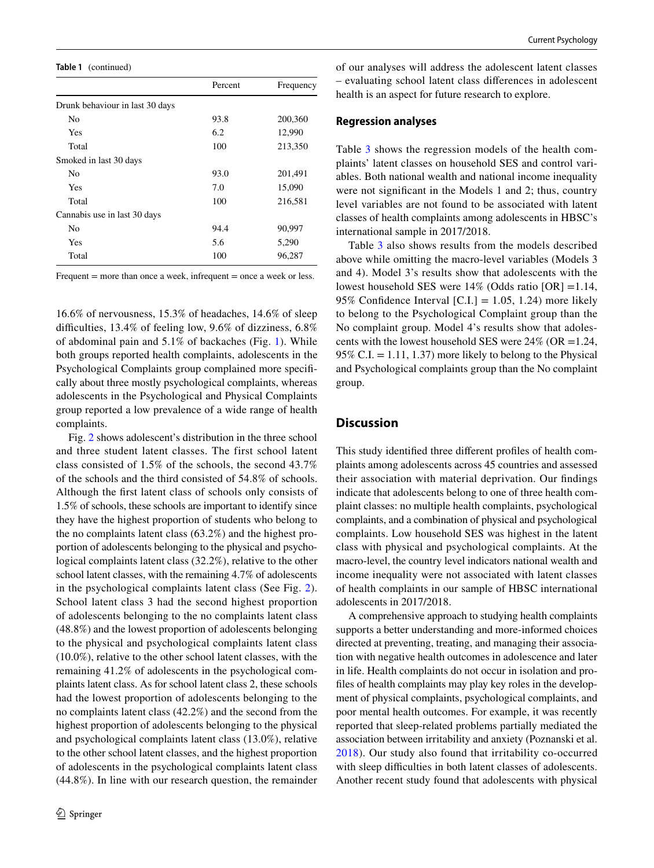**Table 1** (continued)

|                                 | Percent | Frequency |
|---------------------------------|---------|-----------|
| Drunk behaviour in last 30 days |         |           |
| No                              | 93.8    | 200,360   |
| Yes                             | 6.2     | 12,990    |
| Total                           | 100     | 213,350   |
| Smoked in last 30 days          |         |           |
| N <sub>0</sub>                  | 93.0    | 201,491   |
| Yes                             | 7.0     | 15,090    |
| Total                           | 100     | 216,581   |
| Cannabis use in last 30 days    |         |           |
| No                              | 94.4    | 90,997    |
| Yes                             | 5.6     | 5,290     |
| Total                           | 100     | 96,287    |
|                                 |         |           |

Frequent = more than once a week, infrequent = once a week or less.

16.6% of nervousness, 15.3% of headaches, 14.6% of sleep difficulties, 13.4% of feeling low, 9.6% of dizziness, 6.8% of abdominal pain and 5.1% of backaches (Fig. [1](#page-7-0)). While both groups reported health complaints, adolescents in the Psychological Complaints group complained more specifcally about three mostly psychological complaints, whereas adolescents in the Psychological and Physical Complaints group reported a low prevalence of a wide range of health complaints.

Fig. [2](#page-7-1) shows adolescent's distribution in the three school and three student latent classes. The first school latent class consisted of 1.5% of the schools, the second 43.7% of the schools and the third consisted of 54.8% of schools. Although the frst latent class of schools only consists of 1.5% of schools, these schools are important to identify since they have the highest proportion of students who belong to the no complaints latent class (63.2%) and the highest proportion of adolescents belonging to the physical and psychological complaints latent class (32.2%), relative to the other school latent classes, with the remaining 4.7% of adolescents in the psychological complaints latent class (See Fig. [2](#page-7-1)). School latent class 3 had the second highest proportion of adolescents belonging to the no complaints latent class (48.8%) and the lowest proportion of adolescents belonging to the physical and psychological complaints latent class (10.0%), relative to the other school latent classes, with the remaining 41.2% of adolescents in the psychological complaints latent class. As for school latent class 2, these schools had the lowest proportion of adolescents belonging to the no complaints latent class (42.2%) and the second from the highest proportion of adolescents belonging to the physical and psychological complaints latent class (13.0%), relative to the other school latent classes, and the highest proportion of adolescents in the psychological complaints latent class (44.8%). In line with our research question, the remainder of our analyses will address the adolescent latent classes – evaluating school latent class diferences in adolescent health is an aspect for future research to explore.

#### **Regression analyses**

Table [3](#page-8-0) shows the regression models of the health complaints' latent classes on household SES and control variables. Both national wealth and national income inequality were not signifcant in the Models 1 and 2; thus, country level variables are not found to be associated with latent classes of health complaints among adolescents in HBSC's international sample in 2017/2018.

Table [3](#page-8-0) also shows results from the models described above while omitting the macro-level variables (Models 3 and 4). Model 3's results show that adolescents with the lowest household SES were 14% (Odds ratio [OR] =1.14, 95% Confidence Interval  $[C,I] = 1.05, 1.24$  more likely to belong to the Psychological Complaint group than the No complaint group. Model 4's results show that adolescents with the lowest household SES were  $24\%$  (OR = 1.24, 95% C.I.  $= 1.11, 1.37$  more likely to belong to the Physical and Psychological complaints group than the No complaint group.

## **Discussion**

This study identifed three diferent profles of health complaints among adolescents across 45 countries and assessed their association with material deprivation. Our fndings indicate that adolescents belong to one of three health complaint classes: no multiple health complaints, psychological complaints, and a combination of physical and psychological complaints. Low household SES was highest in the latent class with physical and psychological complaints. At the macro-level, the country level indicators national wealth and income inequality were not associated with latent classes of health complaints in our sample of HBSC international adolescents in 2017/2018.

A comprehensive approach to studying health complaints supports a better understanding and more-informed choices directed at preventing, treating, and managing their association with negative health outcomes in adolescence and later in life. Health complaints do not occur in isolation and profles of health complaints may play key roles in the development of physical complaints, psychological complaints, and poor mental health outcomes. For example, it was recently reported that sleep-related problems partially mediated the association between irritability and anxiety (Poznanski et al. [2018\)](#page-11-27). Our study also found that irritability co-occurred with sleep difficulties in both latent classes of adolescents. Another recent study found that adolescents with physical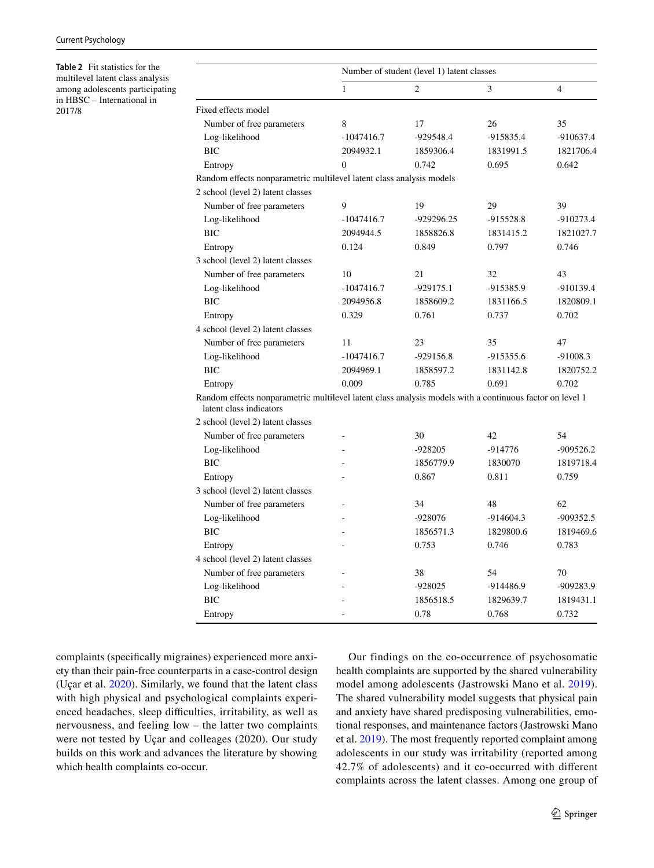<span id="page-6-0"></span>**Table 2** Fit statistics for the multilevel latent class analysis among adolescents participating in HBSC – International in 2017/8

|                                                                                                                                     | Number of student (level 1) latent classes |                |             |                |
|-------------------------------------------------------------------------------------------------------------------------------------|--------------------------------------------|----------------|-------------|----------------|
|                                                                                                                                     | $\mathbf{1}$                               | $\overline{c}$ | 3           | $\overline{4}$ |
| Fixed effects model                                                                                                                 |                                            |                |             |                |
| Number of free parameters                                                                                                           | 8                                          | 17             | 26          | 35             |
| Log-likelihood                                                                                                                      | $-1047416.7$                               | -929548.4      | -915835.4   | $-910637.4$    |
| <b>BIC</b>                                                                                                                          | 2094932.1                                  | 1859306.4      | 1831991.5   | 1821706.4      |
| Entropy                                                                                                                             | $\Omega$                                   | 0.742          | 0.695       | 0.642          |
| Random effects nonparametric multilevel latent class analysis models                                                                |                                            |                |             |                |
| 2 school (level 2) latent classes                                                                                                   |                                            |                |             |                |
| Number of free parameters                                                                                                           | 9                                          | 19             | 29          | 39             |
| Log-likelihood                                                                                                                      | $-1047416.7$                               | -929296.25     | -915528.8   | $-910273.4$    |
| <b>BIC</b>                                                                                                                          | 2094944.5                                  | 1858826.8      | 1831415.2   | 1821027.7      |
| Entropy                                                                                                                             | 0.124                                      | 0.849          | 0.797       | 0.746          |
| 3 school (level 2) latent classes                                                                                                   |                                            |                |             |                |
| Number of free parameters                                                                                                           | 10                                         | 21             | 32          | 43             |
| Log-likelihood                                                                                                                      | $-1047416.7$                               | $-929175.1$    | -915385.9   | -910139.4      |
| <b>BIC</b>                                                                                                                          | 2094956.8                                  | 1858609.2      | 1831166.5   | 1820809.1      |
| Entropy                                                                                                                             | 0.329                                      | 0.761          | 0.737       | 0.702          |
| 4 school (level 2) latent classes                                                                                                   |                                            |                |             |                |
| Number of free parameters                                                                                                           | 11                                         | 23             | 35          | 47             |
| Log-likelihood                                                                                                                      | $-1047416.7$                               | -929156.8      | -915355.6   | $-91008.3$     |
| <b>BIC</b>                                                                                                                          | 2094969.1                                  | 1858597.2      | 1831142.8   | 1820752.2      |
| Entropy                                                                                                                             | 0.009                                      | 0.785          | 0.691       | 0.702          |
| Random effects nonparametric multilevel latent class analysis models with a continuous factor on level 1<br>latent class indicators |                                            |                |             |                |
| 2 school (level 2) latent classes                                                                                                   |                                            |                |             |                |
| Number of free parameters                                                                                                           |                                            | 30             | 42          | 54             |
| Log-likelihood                                                                                                                      |                                            | $-928205$      | $-914776$   | $-909526.2$    |
| <b>BIC</b>                                                                                                                          |                                            | 1856779.9      | 1830070     | 1819718.4      |
| Entropy                                                                                                                             |                                            | 0.867          | 0.811       | 0.759          |
| 3 school (level 2) latent classes                                                                                                   |                                            |                |             |                |
| Number of free parameters                                                                                                           |                                            | 34             | 48          | 62             |
| Log-likelihood                                                                                                                      |                                            | -928076        | $-914604.3$ | -909352.5      |
| <b>BIC</b>                                                                                                                          |                                            | 1856571.3      | 1829800.6   | 1819469.6      |
| Entropy                                                                                                                             |                                            | 0.753          | 0.746       | 0.783          |
| 4 school (level 2) latent classes                                                                                                   |                                            |                |             |                |
| Number of free parameters                                                                                                           |                                            | 38             | 54          | 70             |
| Log-likelihood                                                                                                                      |                                            | $-928025$      | -914486.9   | $-909283.9$    |
| BIC                                                                                                                                 |                                            | 1856518.5      | 1829639.7   | 1819431.1      |
| Entropy                                                                                                                             | $\overline{a}$                             | 0.78           | 0.768       | 0.732          |

complaints (specifcally migraines) experienced more anxiety than their pain-free counterparts in a case-control design (Uçar et al. [2020\)](#page-11-28). Similarly, we found that the latent class with high physical and psychological complaints experienced headaches, sleep difficulties, irritability, as well as nervousness, and feeling low – the latter two complaints were not tested by Uçar and colleages (2020). Our study builds on this work and advances the literature by showing which health complaints co-occur.

Our findings on the co-occurrence of psychosomatic health complaints are supported by the shared vulnerability model among adolescents (Jastrowski Mano et al. [2019](#page-11-3)). The shared vulnerability model suggests that physical pain and anxiety have shared predisposing vulnerabilities, emotional responses, and maintenance factors (Jastrowski Mano et al. [2019\)](#page-11-3). The most frequently reported complaint among adolescents in our study was irritability (reported among 42.7% of adolescents) and it co-occurred with diferent complaints across the latent classes. Among one group of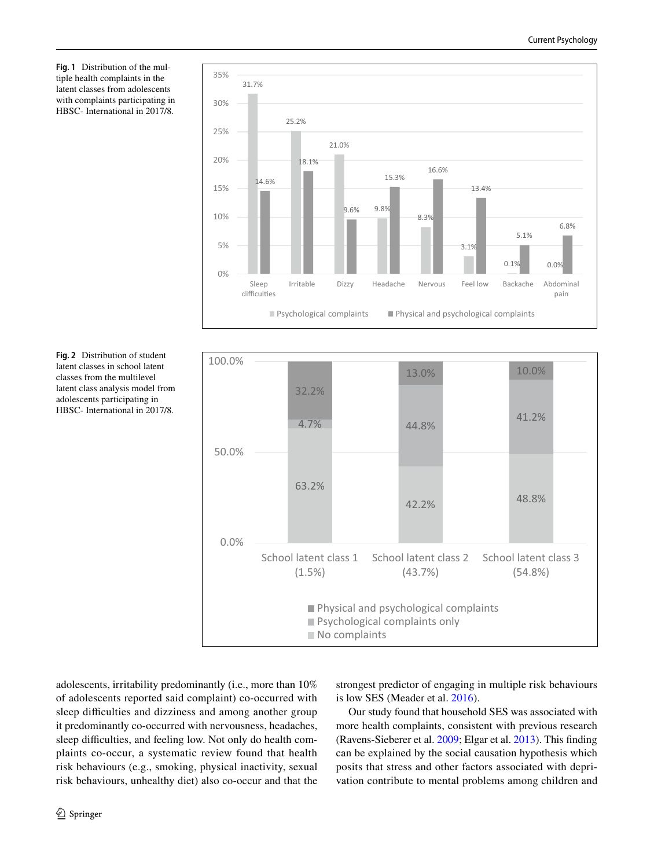<span id="page-7-0"></span>**Fig. 1** Distribution of the multiple health complaints in the latent classes from adolescents with complaints participating in HBSC- International in 2017/8.





<span id="page-7-1"></span>

adolescents, irritability predominantly (i.e., more than 10% of adolescents reported said complaint) co-occurred with sleep difficulties and dizziness and among another group it predominantly co-occurred with nervousness, headaches, sleep difficulties, and feeling low. Not only do health complaints co-occur, a systematic review found that health risk behaviours (e.g., smoking, physical inactivity, sexual risk behaviours, unhealthy diet) also co-occur and that the strongest predictor of engaging in multiple risk behaviours is low SES (Meader et al. [2016](#page-11-29)).

Our study found that household SES was associated with more health complaints, consistent with previous research (Ravens-Sieberer et al. [2009](#page-11-2); Elgar et al. [2013\)](#page-10-3). This fnding can be explained by the social causation hypothesis which posits that stress and other factors associated with deprivation contribute to mental problems among children and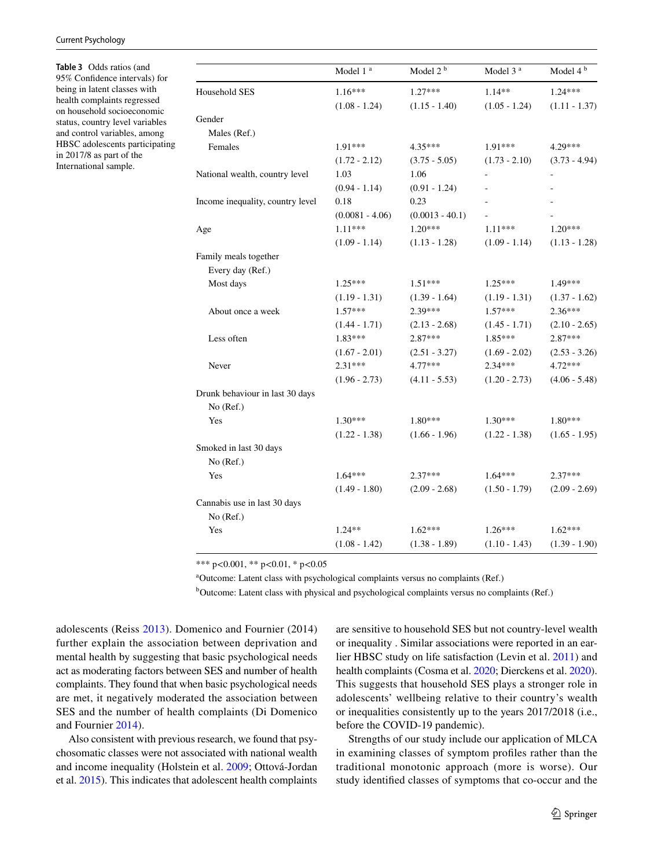#### Current Psychology

<span id="page-8-0"></span>**Table 3** Odds ratios (and 95% Confdence intervals) for being in latent classes with health complaints regressed on household socioeconomic status, country level variables and control variables, among HBSC adolescents participating in 2017/8 as part of the International sample.

|                                  | Model 1 <sup>a</sup> | Model 2 <sup>b</sup> | Model 3 <sup>a</sup> | Model 4 <sup>b</sup> |
|----------------------------------|----------------------|----------------------|----------------------|----------------------|
| Household SES                    | $1.16***$            | $1.27***$            | $1.14**$             | $1.24***$            |
|                                  | $(1.08 - 1.24)$      | $(1.15 - 1.40)$      | $(1.05 - 1.24)$      | $(1.11 - 1.37)$      |
| Gender                           |                      |                      |                      |                      |
| Males (Ref.)                     |                      |                      |                      |                      |
| Females                          | 1.91***              | $4.35***$            | 1.91***              | 4.29***              |
|                                  | $(1.72 - 2.12)$      | $(3.75 - 5.05)$      | $(1.73 - 2.10)$      | $(3.73 - 4.94)$      |
| National wealth, country level   | 1.03                 | 1.06                 |                      |                      |
|                                  | $(0.94 - 1.14)$      | $(0.91 - 1.24)$      |                      |                      |
| Income inequality, country level | 0.18                 | 0.23                 |                      |                      |
|                                  | $(0.0081 - 4.06)$    | $(0.0013 - 40.1)$    |                      |                      |
| Age                              | $1.11***$            | $1.20***$            | $1.11***$            | $1.20***$            |
|                                  | $(1.09 - 1.14)$      | $(1.13 - 1.28)$      | $(1.09 - 1.14)$      | $(1.13 - 1.28)$      |
| Family meals together            |                      |                      |                      |                      |
| Every day (Ref.)                 |                      |                      |                      |                      |
| Most days                        | $1.25***$            | $1.51***$            | $1.25***$            | 1.49***              |
|                                  | $(1.19 - 1.31)$      | $(1.39 - 1.64)$      | $(1.19 - 1.31)$      | $(1.37 - 1.62)$      |
| About once a week                | $1.57***$            | 2.39***              | $1.57***$            | $2.36***$            |
|                                  | $(1.44 - 1.71)$      | $(2.13 - 2.68)$      | $(1.45 - 1.71)$      | $(2.10 - 2.65)$      |
| Less often                       | 1.83***              | $2.87***$            | $1.85***$            | $2.87***$            |
|                                  | $(1.67 - 2.01)$      | $(2.51 - 3.27)$      | $(1.69 - 2.02)$      | $(2.53 - 3.26)$      |
| Never                            | $2.31***$            | $4.77***$            | $2.34***$            | 4.72***              |
|                                  | $(1.96 - 2.73)$      | $(4.11 - 5.53)$      | $(1.20 - 2.73)$      | $(4.06 - 5.48)$      |
| Drunk behaviour in last 30 days  |                      |                      |                      |                      |
| No (Ref.)                        |                      |                      |                      |                      |
| Yes                              | $1.30***$            | $1.80***$            | $1.30***$            | $1.80***$            |
|                                  | $(1.22 - 1.38)$      | $(1.66 - 1.96)$      | $(1.22 - 1.38)$      | $(1.65 - 1.95)$      |
| Smoked in last 30 days           |                      |                      |                      |                      |
| No (Ref.)                        |                      |                      |                      |                      |
| Yes                              | $1.64***$            | 2.37***              | $1.64***$            | $2.37***$            |
|                                  | $(1.49 - 1.80)$      | $(2.09 - 2.68)$      | $(1.50 - 1.79)$      | $(2.09 - 2.69)$      |
| Cannabis use in last 30 days     |                      |                      |                      |                      |
| No (Ref.)                        |                      |                      |                      |                      |
| Yes                              | $1.24**$             | $1.62***$            | $1.26***$            | $1.62***$            |
|                                  | $(1.08 - 1.42)$      | $(1.38 - 1.89)$      | $(1.10 - 1.43)$      | $(1.39 - 1.90)$      |

\*\*\* p<0.001, \*\* p<0.01, \* p<0.05

a Outcome: Latent class with psychological complaints versus no complaints (Ref.)

<sup>b</sup>Outcome: Latent class with physical and psychological complaints versus no complaints (Ref.)

adolescents (Reiss [2013\)](#page-11-30). Domenico and Fournier (2014) further explain the association between deprivation and mental health by suggesting that basic psychological needs act as moderating factors between SES and number of health complaints. They found that when basic psychological needs are met, it negatively moderated the association between SES and the number of health complaints (Di Domenico and Fournier [2014\)](#page-10-5).

Also consistent with previous research, we found that psychosomatic classes were not associated with national wealth and income inequality (Holstein et al. [2009](#page-11-9); Ottová-Jordan et al. [2015](#page-11-5)). This indicates that adolescent health complaints

are sensitive to household SES but not country-level wealth or inequality . Similar associations were reported in an earlier HBSC study on life satisfaction (Levin et al. [2011\)](#page-11-31) and health complaints (Cosma et al. [2020](#page-10-6); Dierckens et al. [2020](#page-10-15)). This suggests that household SES plays a stronger role in adolescents' wellbeing relative to their country's wealth or inequalities consistently up to the years 2017/2018 (i.e., before the COVID-19 pandemic).

Strengths of our study include our application of MLCA in examining classes of symptom profles rather than the traditional monotonic approach (more is worse). Our study identifed classes of symptoms that co-occur and the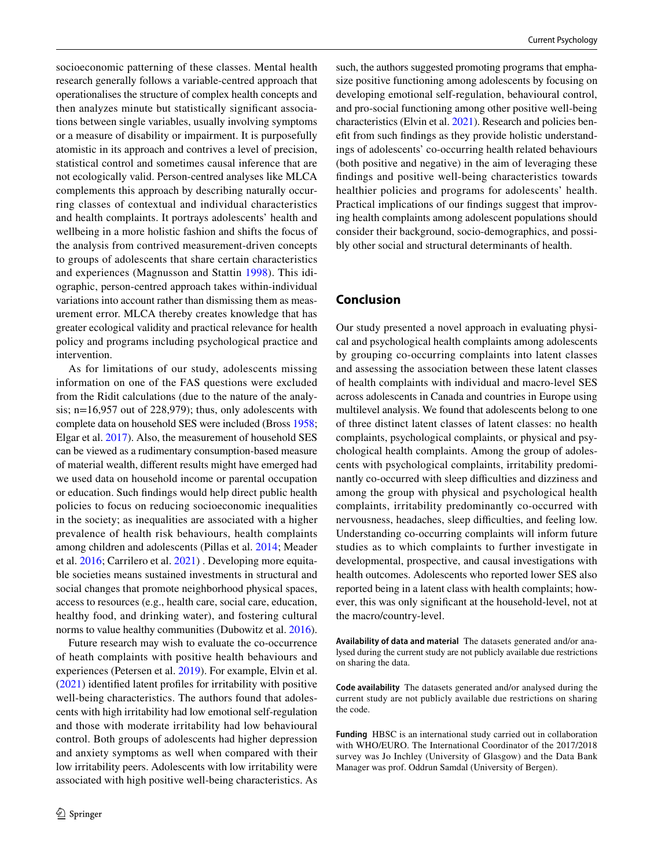socioeconomic patterning of these classes. Mental health research generally follows a variable-centred approach that operationalises the structure of complex health concepts and then analyzes minute but statistically signifcant associations between single variables, usually involving symptoms or a measure of disability or impairment. It is purposefully atomistic in its approach and contrives a level of precision, statistical control and sometimes causal inference that are not ecologically valid. Person-centred analyses like MLCA complements this approach by describing naturally occurring classes of contextual and individual characteristics and health complaints. It portrays adolescents' health and wellbeing in a more holistic fashion and shifts the focus of the analysis from contrived measurement-driven concepts to groups of adolescents that share certain characteristics and experiences (Magnusson and Stattin [1998](#page-11-32)). This idiographic, person-centred approach takes within-individual variations into account rather than dismissing them as measurement error. MLCA thereby creates knowledge that has greater ecological validity and practical relevance for health policy and programs including psychological practice and intervention.

As for limitations of our study, adolescents missing information on one of the FAS questions were excluded from the Ridit calculations (due to the nature of the analysis; n=16,957 out of 228,979); thus, only adolescents with complete data on household SES were included (Bross [1958](#page-10-16); Elgar et al. [2017](#page-10-14)). Also, the measurement of household SES can be viewed as a rudimentary consumption-based measure of material wealth, diferent results might have emerged had we used data on household income or parental occupation or education. Such fndings would help direct public health policies to focus on reducing socioeconomic inequalities in the society; as inequalities are associated with a higher prevalence of health risk behaviours, health complaints among children and adolescents (Pillas et al. [2014](#page-11-33); Meader et al. [2016;](#page-11-29) Carrilero et al. [2021\)](#page-10-17) . Developing more equitable societies means sustained investments in structural and social changes that promote neighborhood physical spaces, access to resources (e.g., health care, social care, education, healthy food, and drinking water), and fostering cultural norms to value healthy communities (Dubowitz et al. [2016](#page-10-18)).

Future research may wish to evaluate the co-occurrence of heath complaints with positive health behaviours and experiences (Petersen et al. [2019\)](#page-11-34). For example, Elvin et al. [\(2021\)](#page-10-19) identifed latent profles for irritability with positive well-being characteristics. The authors found that adolescents with high irritability had low emotional self-regulation and those with moderate irritability had low behavioural control. Both groups of adolescents had higher depression and anxiety symptoms as well when compared with their low irritability peers. Adolescents with low irritability were associated with high positive well-being characteristics. As such, the authors suggested promoting programs that emphasize positive functioning among adolescents by focusing on developing emotional self-regulation, behavioural control, and pro-social functioning among other positive well-being characteristics (Elvin et al. [2021\)](#page-10-19). Research and policies beneft from such fndings as they provide holistic understandings of adolescents' co-occurring health related behaviours (both positive and negative) in the aim of leveraging these fndings and positive well-being characteristics towards healthier policies and programs for adolescents' health. Practical implications of our fndings suggest that improving health complaints among adolescent populations should consider their background, socio-demographics, and possibly other social and structural determinants of health.

# **Conclusion**

Our study presented a novel approach in evaluating physical and psychological health complaints among adolescents by grouping co-occurring complaints into latent classes and assessing the association between these latent classes of health complaints with individual and macro-level SES across adolescents in Canada and countries in Europe using multilevel analysis. We found that adolescents belong to one of three distinct latent classes of latent classes: no health complaints, psychological complaints, or physical and psychological health complaints. Among the group of adolescents with psychological complaints, irritability predominantly co-occurred with sleep difficulties and dizziness and among the group with physical and psychological health complaints, irritability predominantly co-occurred with nervousness, headaches, sleep difficulties, and feeling low. Understanding co-occurring complaints will inform future studies as to which complaints to further investigate in developmental, prospective, and causal investigations with health outcomes. Adolescents who reported lower SES also reported being in a latent class with health complaints; however, this was only signifcant at the household-level, not at the macro/country-level.

**Availability of data and material** The datasets generated and/or analysed during the current study are not publicly available due restrictions on sharing the data.

**Code availability** The datasets generated and/or analysed during the current study are not publicly available due restrictions on sharing the code.

**Funding** HBSC is an international study carried out in collaboration with WHO/EURO. The International Coordinator of the 2017/2018 survey was Jo Inchley (University of Glasgow) and the Data Bank Manager was prof. Oddrun Samdal (University of Bergen).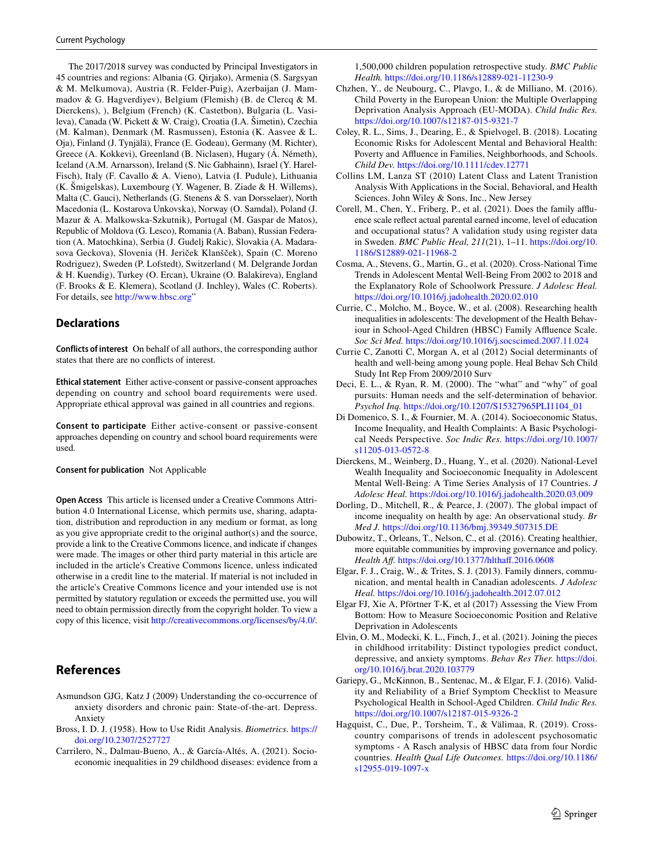The 2017/2018 survey was conducted by Principal Investigators in 45 countries and regions: Albania (G. Qirjako), Armenia (S. Sargsyan & M. Melkumova), Austria (R. Felder-Puig), Azerbaijan (J. Mammadov & G. Hagverdiyev), Belgium (Flemish) (B. de Clercq & M. Dierckens), ), Belgium (French) (K. Castetbon), Bulgaria (L. Vasileva), Canada (W. Pickett & W. Craig), Croatia (I.A. Šimetin), Czechia (M. Kalman), Denmark (M. Rasmussen), Estonia (K. Aasvee & L. Oja), Finland (J. Tynjälä), France (E. Godeau), Germany (M. Richter), Greece (A. Kokkevi), Greenland (B. Niclasen), Hugary (Á. Németh), Iceland (A.M. Arnarsson), Ireland (S. Nic Gabhainn), Israel (Y. Harel-Fisch), Italy (F. Cavallo & A. Vieno), Latvia (I. Pudule), Lithuania (K. Šmigelskas), Luxembourg (Y. Wagener, B. Ziade & H. Willems), Malta (C. Gauci), Netherlands (G. Stenens & S. van Dorsselaer), North Macedonia (L. Kostarova Unkovska), Norway (O. Samdal), Poland (J. Mazur & A. Malkowska-Szkutnik), Portugal (M. Gaspar de Matos), Republic of Moldova (G. Lesco), Romania (A. Baban), Russian Federation (A. Matochkina), Serbia (J. Gudelj Rakic), Slovakia (A. Madarasova Geckova), Slovenia (H. Jeriček Klanšček), Spain (C. Moreno Rodriguez), Sweden (P. Lofstedt), Switzerland ( M. Delgrande Jordan & H. Kuendig), Turkey (O. Ercan), Ukraine (O. Balakireva), England (F. Brooks & E. Klemera), Scotland (J. Inchley), Wales (C. Roberts). For details, see [http://www.hbsc.org"](http://www.hbsc.org)

### **Declarations**

**Conflicts of interest** On behalf of all authors, the corresponding author states that there are no conficts of interest.

**Ethical statement** Either active-consent or passive-consent approaches depending on country and school board requirements were used. Appropriate ethical approval was gained in all countries and regions.

**Consent to participate** Either active-consent or passive-consent approaches depending on country and school board requirements were used.

**Consent for publication** Not Applicable

**Open Access** This article is licensed under a Creative Commons Attribution 4.0 International License, which permits use, sharing, adaptation, distribution and reproduction in any medium or format, as long as you give appropriate credit to the original author(s) and the source, provide a link to the Creative Commons licence, and indicate if changes were made. The images or other third party material in this article are included in the article's Creative Commons licence, unless indicated otherwise in a credit line to the material. If material is not included in the article's Creative Commons licence and your intended use is not permitted by statutory regulation or exceeds the permitted use, you will need to obtain permission directly from the copyright holder. To view a copy of this licence, visit <http://creativecommons.org/licenses/by/4.0/>.

### **References**

- <span id="page-10-0"></span>Asmundson GJG, Katz J (2009) Understanding the co-occurrence of anxiety disorders and chronic pain: State-of-the-art. Depress. Anxiety
- <span id="page-10-16"></span>Bross, I. D. J. (1958). How to Use Ridit Analysis. *Biometrics.* [https://](https://doi.org/10.2307/2527727) [doi.org/10.2307/2527727](https://doi.org/10.2307/2527727)
- <span id="page-10-17"></span>Carrilero, N., Dalmau-Bueno, A., & García-Altés, A. (2021). Socioeconomic inequalities in 29 childhood diseases: evidence from a

1,500,000 children population retrospective study. *BMC Public Health.* <https://doi.org/10.1186/s12889-021-11230-9>

- <span id="page-10-2"></span>Chzhen, Y., de Neubourg, C., Plavgo, I., & de Milliano, M. (2016). Child Poverty in the European Union: the Multiple Overlapping Deprivation Analysis Approach (EU-MODA). *Child Indic Res.* <https://doi.org/10.1007/s12187-015-9321-7>
- <span id="page-10-13"></span>Coley, R. L., Sims, J., Dearing, E., & Spielvogel, B. (2018). Locating Economic Risks for Adolescent Mental and Behavioral Health: Poverty and Affluence in Families, Neighborhoods, and Schools. *Child Dev.* <https://doi.org/10.1111/cdev.12771>
- <span id="page-10-8"></span>Collins LM, Lanza ST (2010) Latent Class and Latent Tranistion Analysis With Applications in the Social, Behavioral, and Health Sciences. John Wiley & Sons, Inc., New Jersey
- <span id="page-10-11"></span>Corell, M., Chen, Y., Friberg, P., et al. (2021). Does the family afuence scale refect actual parental earned income, level of education and occupational status? A validation study using register data in Sweden. *BMC Public Heal, 211*(21), 1–11. [https://doi.org/10.](https://doi.org/10.1186/S12889-021-11968-2) [1186/S12889-021-11968-2](https://doi.org/10.1186/S12889-021-11968-2)
- <span id="page-10-6"></span>Cosma, A., Stevens, G., Martin, G., et al. (2020). Cross-National Time Trends in Adolescent Mental Well-Being From 2002 to 2018 and the Explanatory Role of Schoolwork Pressure. *J Adolesc Heal.* <https://doi.org/10.1016/j.jadohealth.2020.02.010>
- <span id="page-10-10"></span>Currie, C., Molcho, M., Boyce, W., et al. (2008). Researching health inequalities in adolescents: The development of the Health Behaviour in School-Aged Children (HBSC) Family Affluence Scale. *Soc Sci Med.* <https://doi.org/10.1016/j.socscimed.2007.11.024>
- <span id="page-10-1"></span>Currie C, Zanotti C, Morgan A, et al (2012) Social determinants of health and well-being among young pople. Heal Behav Sch Child Study Int Rep From 2009/2010 Surv
- <span id="page-10-4"></span>Deci, E. L., & Ryan, R. M. (2000). The "what" and "why" of goal pursuits: Human needs and the self-determination of behavior. *Psychol Inq.* [https://doi.org/10.1207/S15327965PLI1104\\_01](https://doi.org/10.1207/S15327965PLI1104_01)
- <span id="page-10-5"></span>Di Domenico, S. I., & Fournier, M. A. (2014). Socioeconomic Status, Income Inequality, and Health Complaints: A Basic Psychological Needs Perspective. *Soc Indic Res.* [https://doi.org/10.1007/](https://doi.org/10.1007/s11205-013-0572-8) [s11205-013-0572-8](https://doi.org/10.1007/s11205-013-0572-8)
- <span id="page-10-15"></span>Dierckens, M., Weinberg, D., Huang, Y., et al. (2020). National-Level Wealth Inequality and Socioeconomic Inequality in Adolescent Mental Well-Being: A Time Series Analysis of 17 Countries. *J Adolesc Heal.* <https://doi.org/10.1016/j.jadohealth.2020.03.009>
- <span id="page-10-12"></span>Dorling, D., Mitchell, R., & Pearce, J. (2007). The global impact of income inequality on health by age: An observational study. *Br Med J.* <https://doi.org/10.1136/bmj.39349.507315.DE>
- <span id="page-10-18"></span>Dubowitz, T., Orleans, T., Nelson, C., et al. (2016). Creating healthier, more equitable communities by improving governance and policy. Health Aff. https://doi.org/10.1377/hlthaff.2016.0608
- <span id="page-10-3"></span>Elgar, F. J., Craig, W., & Trites, S. J. (2013). Family dinners, communication, and mental health in Canadian adolescents. *J Adolesc Heal.* <https://doi.org/10.1016/j.jadohealth.2012.07.012>
- <span id="page-10-14"></span>Elgar FJ, Xie A, Pförtner T-K, et al (2017) Assessing the View From Bottom: How to Measure Socioeconomic Position and Relative Deprivation in Adolescents
- <span id="page-10-19"></span>Elvin, O. M., Modecki, K. L., Finch, J., et al. (2021). Joining the pieces in childhood irritability: Distinct typologies predict conduct, depressive, and anxiety symptoms. *Behav Res Ther.* [https://doi.](https://doi.org/10.1016/j.brat.2020.103779) [org/10.1016/j.brat.2020.103779](https://doi.org/10.1016/j.brat.2020.103779)
- <span id="page-10-7"></span>Gariepy, G., McKinnon, B., Sentenac, M., & Elgar, F. J. (2016). Validity and Reliability of a Brief Symptom Checklist to Measure Psychological Health in School-Aged Children. *Child Indic Res.* <https://doi.org/10.1007/s12187-015-9326-2>
- <span id="page-10-9"></span>Hagquist, C., Due, P., Torsheim, T., & Välimaa, R. (2019). Crosscountry comparisons of trends in adolescent psychosomatic symptoms - A Rasch analysis of HBSC data from four Nordic countries. *Health Qual Life Outcomes.* [https://doi.org/10.1186/](https://doi.org/10.1186/s12955-019-1097-x) [s12955-019-1097-x](https://doi.org/10.1186/s12955-019-1097-x)